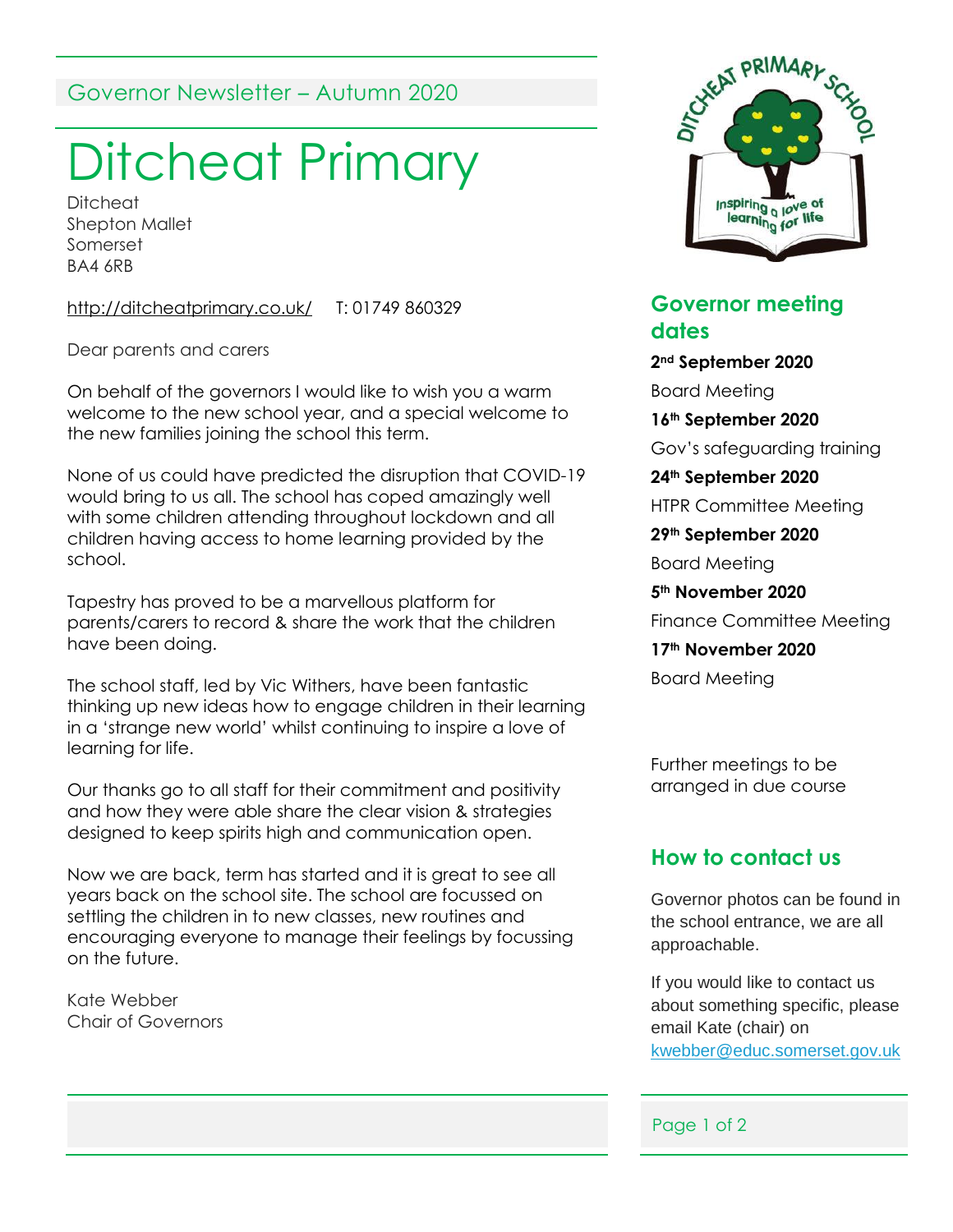# Governor Newsletter – Autumn 2020

# Ditcheat Primary

**Ditcheat** Shepton Mallet Somerset BA4 6RB

<http://ditcheatprimary.co.uk/> T: 01749 860329

Dear parents and carers

On behalf of the governors I would like to wish you a warm welcome to the new school year, and a special welcome to the new families joining the school this term.

None of us could have predicted the disruption that COVID-19 would bring to us all. The school has coped amazingly well with some children attending throughout lockdown and all children having access to home learning provided by the school.

Tapestry has proved to be a marvellous platform for parents/carers to record & share the work that the children have been doing.

The school staff, led by Vic Withers, have been fantastic thinking up new ideas how to engage children in their learning in a 'strange new world' whilst continuing to inspire a love of learning for life.

Our thanks go to all staff for their commitment and positivity and how they were able share the clear vision & strategies designed to keep spirits high and communication open.

Now we are back, term has started and it is great to see all years back on the school site. The school are focussed on settling the children in to new classes, new routines and encouraging everyone to manage their feelings by focussing on the future.

Kate Webber Chair of Governors



#### **Governor meeting dates**

**2nd September 2020** Board Meeting **16th September 2020** Gov's safeguarding training **24th September 2020** HTPR Committee Meeting **29th September 2020** Board Meeting **5th November 2020** Finance Committee Meeting **17th November 2020**

Board Meeting

Further meetings to be arranged in due course

### **How to contact us**

Governor photos can be found in the school entrance, we are all approachable.

If you would like to contact us about something specific, please email Kate (chair) on [kwebber@educ.somerset.gov.uk](mailto:kwebber@educ.somerset.gov.uk)

#### Page 1 of 2